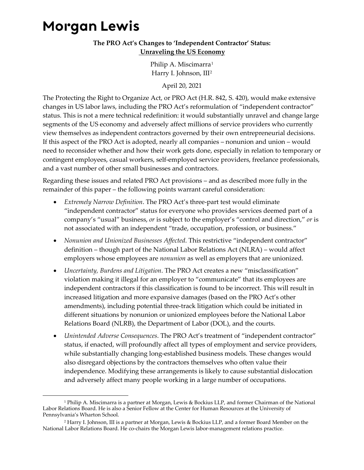## **Morgan Lewis**

## **The PRO Act's Changes to 'Independent Contractor' Status: Unraveling the US Economy**

Philip A. Miscimarra<sup>[1](#page-0-0)</sup> Harry I. Johnson, III[2](#page-0-1)

April 20, 2021

The Protecting the Right to Organize Act, or PRO Act (H.R. 842, S. 420), would make extensive changes in US labor laws, including the PRO Act's reformulation of "independent contractor" status. This is not a mere technical redefinition: it would substantially unravel and change large segments of the US economy and adversely affect millions of service providers who currently view themselves as independent contractors governed by their own entrepreneurial decisions. If this aspect of the PRO Act is adopted, nearly all companies – nonunion and union – would need to reconsider whether and how their work gets done, especially in relation to temporary or contingent employees, casual workers, self-employed service providers, freelance professionals, and a vast number of other small businesses and contractors.

Regarding these issues and related PRO Act provisions – and as described more fully in the remainder of this paper – the following points warrant careful consideration:

- *Extremely Narrow Definition*. The PRO Act's three-part test would eliminate "independent contractor" status for everyone who provides services deemed part of a company's "usual" business, *or* is subject to the employer's "control and direction," *or* is not associated with an independent "trade, occupation, profession, or business."
- *Nonunion and Unionized Businesses Affected*. This restrictive "independent contractor" definition – though part of the National Labor Relations Act (NLRA) – would affect employers whose employees are *nonunion* as well as employers that are unionized.
- *Uncertainty, Burdens and Litigation*. The PRO Act creates a new "misclassification" violation making it illegal for an employer to "communicate" that its employees are independent contractors if this classification is found to be incorrect. This will result in increased litigation and more expansive damages (based on the PRO Act's other amendments), including potential three-track litigation which could be initiated in different situations by nonunion or unionized employees before the National Labor Relations Board (NLRB), the Department of Labor (DOL), and the courts.
- *Unintended Adverse Consequences*. The PRO Act's treatment of "independent contractor" status, if enacted, will profoundly affect all types of employment and service providers, while substantially changing long-established business models. These changes would also disregard objections by the contractors themselves who often value their independence. Modifying these arrangements is likely to cause substantial dislocation and adversely affect many people working in a large number of occupations.

<span id="page-0-0"></span><sup>1</sup> Philip A. Miscimarra is a partner at Morgan, Lewis & Bockius LLP, and former Chairman of the National Labor Relations Board. He is also a Senior Fellow at the Center for Human Resources at the University of Pennsylvania's Wharton School.

<span id="page-0-1"></span><sup>2</sup> Harry I. Johnson, III is a partner at Morgan, Lewis & Bockius LLP, and a former Board Member on the National Labor Relations Board. He co-chairs the Morgan Lewis labor-management relations practice.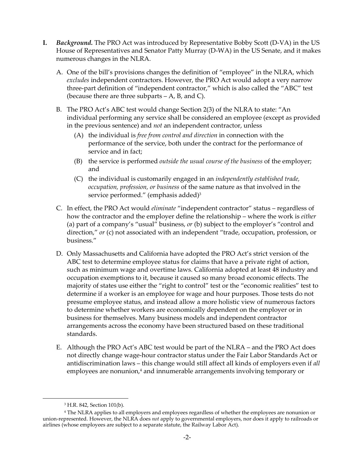- **I.** *Background.* The PRO Act was introduced by Representative Bobby Scott (D-VA) in the US House of Representatives and Senator Patty Murray (D-WA) in the US Senate, and it makes numerous changes in the NLRA.
	- A. One of the bill's provisions changes the definition of "employee" in the NLRA, which *excludes* independent contractors. However, the PRO Act would adopt a very narrow three-part definition of "independent contractor," which is also called the "ABC" test (because there are three subparts  $- A$ , B, and C).
	- B. The PRO Act's ABC test would change Section 2(3) of the NLRA to state: "An individual performing any service shall be considered an employee (except as provided in the previous sentence) and *not* an independent contractor, unless
		- (A) the individual is *free from control and direction* in connection with the performance of the service, both under the contract for the performance of service and in fact;
		- (B) the service is performed *outside the usual course of the business* of the employer; and
		- (C) the individual is customarily engaged in an *independently established trade, occupation, profession, or business* of the same nature as that involved in the service performed." (emphasis added)<sup>[3](#page-1-0)</sup>
	- C. In effect, the PRO Act would *eliminate* "independent contractor" status regardless of how the contractor and the employer define the relationship – where the work is *either* (a) part of a company's "usual" business, *or* (b) subject to the employer's "control and direction," *or* (c) not associated with an independent "trade, occupation, profession, or business."
	- D. Only Massachusetts and California have adopted the PRO Act's strict version of the ABC test to determine employee status for claims that have a private right of action, such as minimum wage and overtime laws. California adopted at least 48 industry and occupation exemptions to it, because it caused so many broad economic effects. The majority of states use either the "right to control" test or the "economic realities" test to determine if a worker is an employee for wage and hour purposes. Those tests do not presume employee status, and instead allow a more holistic view of numerous factors to determine whether workers are economically dependent on the employer or in business for themselves. Many business models and independent contractor arrangements across the economy have been structured based on these traditional standards.
	- E. Although the PRO Act's ABC test would be part of the NLRA and the PRO Act does not directly change wage-hour contractor status under the Fair Labor Standards Act or antidiscrimination laws – this change would still affect all kinds of employers even if *all* employeesare nonunion,<sup>4</sup> and innumerable arrangements involving temporary or

<span id="page-1-1"></span><span id="page-1-0"></span><sup>3</sup> H.R. 842, Section 101(b).

<sup>4</sup> The NLRA applies to all employers and employees regardless of whether the employees are nonunion or union-represented. However, the NLRA does *not* apply to governmental employers, nor does it apply to railroads or airlines (whose employees are subject to a separate statute, the Railway Labor Act).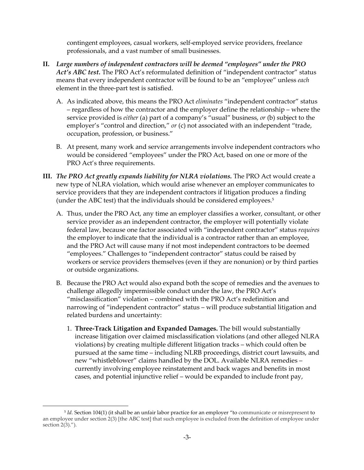contingent employees, casual workers, self-employed service providers, freelance professionals, and a vast number of small businesses.

- **II.** *Large numbers of independent contractors will be deemed "employees" under the PRO Act's ABC test.* The PRO Act's reformulated definition of "independent contractor" status means that every independent contractor will be found to be an "employee" unless *each* element in the three-part test is satisfied.
	- A. As indicated above, this means the PRO Act *eliminates* "independent contractor" status – regardless of how the contractor and the employer define the relationship – where the service provided is *either* (a) part of a company's "usual" business, *or* (b) subject to the employer's "control and direction," *or* (c) not associated with an independent "trade, occupation, profession, or business."
	- B. At present, many work and service arrangements involve independent contractors who would be considered "employees" under the PRO Act, based on one or more of the PRO Act's three requirements.
- **III.** *The PRO Act greatly expands liability for NLRA violations.* The PRO Act would create a new type of NLRA violation, which would arise whenever an employer communicates to service providers that they are independent contractors if litigation produces a finding (under the ABC test) that the individuals should be considered employees.[5](#page-2-0)
	- A. Thus, under the PRO Act, any time an employer classifies a worker, consultant, or other service provider as an independent contractor, the employer will potentially violate federal law, because one factor associated with "independent contractor" status *requires* the employer to indicate that the individual is a contractor rather than an employee, and the PRO Act will cause many if not most independent contractors to be deemed "employees." Challenges to "independent contractor" status could be raised by workers or service providers themselves (even if they are nonunion) or by third parties or outside organizations.
	- B. Because the PRO Act would also expand both the scope of remedies and the avenues to challenge allegedly impermissible conduct under the law, the PRO Act's "misclassification" violation – combined with the PRO Act's redefinition and narrowing of "independent contractor" status – will produce substantial litigation and related burdens and uncertainty:
		- 1. **Three-Track Litigation and Expanded Damages.** The bill would substantially increase litigation over claimed misclassification violations (and other alleged NLRA violations) by creating multiple different litigation tracks – which could often be pursued at the same time – including NLRB proceedings, district court lawsuits, and new "whistleblower" claims handled by the DOL. Available NLRA remedies – currently involving employee reinstatement and back wages and benefits in most cases, and potential injunctive relief – would be expanded to include front pay,

<span id="page-2-0"></span><sup>5</sup> *Id.* Section 104(1) (it shall be an unfair labor practice for an employer "to communicate or misrepresent to an employee under section 2(3) [the ABC test] that such employee is excluded from the definition of employee under section 2(3).").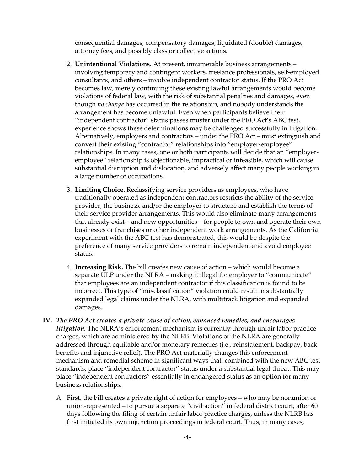consequential damages, compensatory damages, liquidated (double) damages, attorney fees, and possibly class or collective actions.

- 2. **Unintentional Violations**. At present, innumerable business arrangements involving temporary and contingent workers, freelance professionals, self-employed consultants, and others – involve independent contractor status. If the PRO Act becomes law, merely continuing these existing lawful arrangements would become violations of federal law, with the risk of substantial penalties and damages, even though *no change* has occurred in the relationship, and nobody understands the arrangement has become unlawful. Even when participants believe their "independent contractor" status passes muster under the PRO Act's ABC test, experience shows these determinations may be challenged successfully in litigation. Alternatively, employers and contractors – under the PRO Act – must extinguish and convert their existing "contractor" relationships into "employer-employee" relationships. In many cases, one or both participants will decide that an "employeremployee" relationship is objectionable, impractical or infeasible, which will cause substantial disruption and dislocation, and adversely affect many people working in a large number of occupations.
- 3. **Limiting Choice.** Reclassifying service providers as employees, who have traditionally operated as independent contractors restricts the ability of the service provider, the business, and/or the employer to structure and establish the terms of their service provider arrangements. This would also eliminate many arrangements that already exist – and new opportunities – for people to own and operate their own businesses or franchises or other independent work arrangements. As the California experiment with the ABC test has demonstrated, this would be despite the preference of many service providers to remain independent and avoid employee status.
- 4. **Increasing Risk.** The bill creates new cause of action which would become a separate ULP under the NLRA – making it illegal for employer to "communicate" that employees are an independent contractor if this classification is found to be incorrect. This type of "misclassification" violation could result in substantially expanded legal claims under the NLRA, with multitrack litigation and expanded damages.
- **IV.** *The PRO Act creates a private cause of action, enhanced remedies, and encourages litigation*. The NLRA's enforcement mechanism is currently through unfair labor practice charges, which are administered by the NLRB. Violations of the NLRA are generally addressed through equitable and/or monetary remedies (i.e., reinstatement, backpay, back benefits and injunctive relief). The PRO Act materially changes this enforcement mechanism and remedial scheme in significant ways that, combined with the new ABC test standards, place "independent contractor" status under a substantial legal threat. This may place "independent contractors" essentially in endangered status as an option for many business relationships.
	- A. First, the bill creates a private right of action for employees who may be nonunion or union-represented – to pursue a separate "civil action" in federal district court, after 60 days following the filing of certain unfair labor practice charges, unless the NLRB has first initiated its own injunction proceedings in federal court. Thus, in many cases,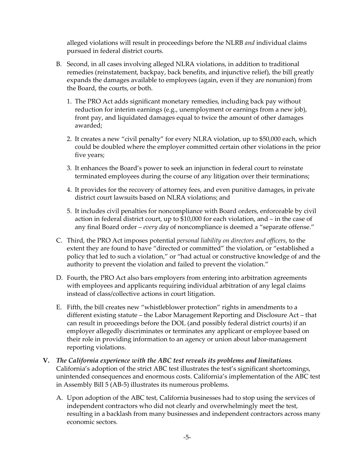alleged violations will result in proceedings before the NLRB *and* individual claims pursued in federal district courts.

- B. Second, in all cases involving alleged NLRA violations, in addition to traditional remedies (reinstatement, backpay, back benefits, and injunctive relief), the bill greatly expands the damages available to employees (again, even if they are nonunion) from the Board, the courts, or both.
	- 1. The PRO Act adds significant monetary remedies, including back pay without reduction for interim earnings (e.g., unemployment or earnings from a new job), front pay, and liquidated damages equal to twice the amount of other damages awarded;
	- 2. It creates a new "civil penalty" for every NLRA violation, up to \$50,000 each, which could be doubled where the employer committed certain other violations in the prior five years;
	- 3. It enhances the Board's power to seek an injunction in federal court to reinstate terminated employees during the course of any litigation over their terminations;
	- 4. It provides for the recovery of attorney fees, and even punitive damages, in private district court lawsuits based on NLRA violations; and
	- 5. It includes civil penalties for noncompliance with Board orders, enforceable by civil action in federal district court, up to \$10,000 for each violation, and – in the case of any final Board order – *every day* of noncompliance is deemed a "separate offense."
- C. Third, the PRO Act imposes potential *personal liability on directors and officers*, to the extent they are found to have "directed or committed" the violation, or "established a policy that led to such a violation," or "had actual or constructive knowledge of and the authority to prevent the violation and failed to prevent the violation."
- D. Fourth, the PRO Act also bars employers from entering into arbitration agreements with employees and applicants requiring individual arbitration of any legal claims instead of class/collective actions in court litigation.
- E. Fifth, the bill creates new "whistleblower protection" rights in amendments to a different existing statute – the Labor Management Reporting and Disclosure Act – that can result in proceedings before the DOL (and possibly federal district courts) if an employer allegedly discriminates or terminates any applicant or employee based on their role in providing information to an agency or union about labor-management reporting violations.
- **V.** *The California experience with the ABC test reveals its problems and limitations.*  California's adoption of the strict ABC test illustrates the test's significant shortcomings, unintended consequences and enormous costs. California's implementation of the ABC test in Assembly Bill 5 (AB-5) illustrates its numerous problems.
	- A. Upon adoption of the ABC test, California businesses had to stop using the services of independent contractors who did not clearly and overwhelmingly meet the test, resulting in a backlash from many businesses and independent contractors across many economic sectors.